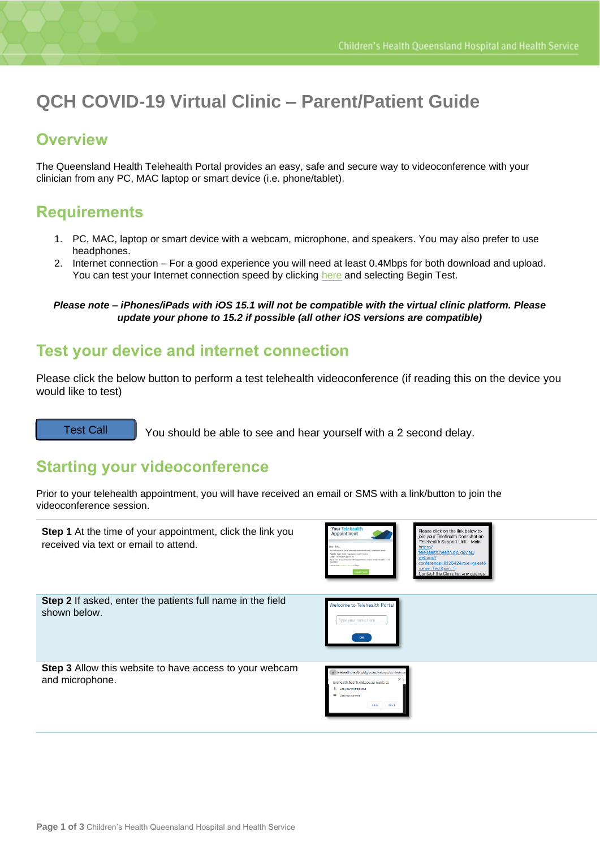# **QCH COVID-19 Virtual Clinic – Parent/Patient Guide**

#### **Overview**

The Queensland Health Telehealth Portal provides an easy, safe and secure way to videoconference with your clinician from any PC, MAC laptop or smart device (i.e. phone/tablet).

### **Requirements**

- 1. PC, MAC, laptop or smart device with a webcam, microphone, and speakers. You may also prefer to use headphones.
- 2. Internet connection For a good experience you will need at least 0.4Mbps for both download and upload. You can test your Internet connection speed by clicking [here](http://www.speedtest.net/) and selecting Begin Test.

*Please note – iPhones/iPads with iOS 15.1 will not be compatible with the virtual clinic platform. Please update your phone to 15.2 if possible (all other iOS versions are compatible)*

#### **Test your device and internet connection**

Please click the below button to perform a test telehealth videoconference (if reading this on the device you would like to test)

[Test Call](https://telehealth.health.qld.gov.au/webapp/?conference=810000&name=test&join=1)

You should be able to see and hear yourself with a 2 second delay.

#### **Starting your videoconference**

Prior to your telehealth appointment, you will have received an email or SMS with a link/button to join the videoconference session.

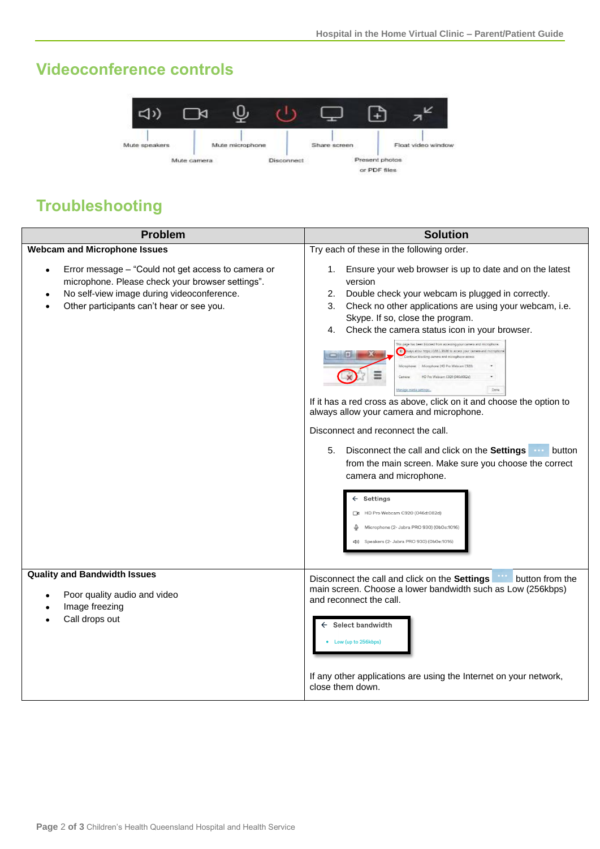### **Videoconference controls**



## **Troubleshooting**

| <b>Problem</b>                                                                                                                                                                                                              | <b>Solution</b>                                                                                                                                                                                                                                                                                                                                                                                                                                                                                                                                                                                                                                                                                                                                                                                                                                                                                                                                                                                                                                                                     |
|-----------------------------------------------------------------------------------------------------------------------------------------------------------------------------------------------------------------------------|-------------------------------------------------------------------------------------------------------------------------------------------------------------------------------------------------------------------------------------------------------------------------------------------------------------------------------------------------------------------------------------------------------------------------------------------------------------------------------------------------------------------------------------------------------------------------------------------------------------------------------------------------------------------------------------------------------------------------------------------------------------------------------------------------------------------------------------------------------------------------------------------------------------------------------------------------------------------------------------------------------------------------------------------------------------------------------------|
| <b>Webcam and Microphone Issues</b>                                                                                                                                                                                         | Try each of these in the following order.                                                                                                                                                                                                                                                                                                                                                                                                                                                                                                                                                                                                                                                                                                                                                                                                                                                                                                                                                                                                                                           |
| Error message - "Could not get access to camera or<br>$\bullet$<br>microphone. Please check your browser settings".<br>No self-view image during videoconference.<br>$\bullet$<br>Other participants can't hear or see you. | Ensure your web browser is up to date and on the latest<br>1.<br>version<br>Double check your webcam is plugged in correctly.<br>2.<br>Check no other applications are using your webcam, i.e.<br>3.<br>Skype. If so, close the program.<br>Check the camera status icon in your browser.<br>4.<br>This page has been blocked from accessing your camera and microphone<br>Mays allow https://168.1.38.86 to access your camera and microple<br>ue blocking camera and microphone acces<br>Microphone (HD Pro Webcam C920)<br>HD Pro Webcam C920 (046d:082d)<br>Camera:<br>Done<br>Aanage media settings.<br>If it has a red cross as above, click on it and choose the option to<br>always allow your camera and microphone.<br>Disconnect and reconnect the call.<br>5.<br>Disconnect the call and click on the Settings <b>WALE DETER</b><br>from the main screen. Make sure you choose the correct<br>camera and microphone.<br>$\leftarrow$ Settings<br>HD Pro Webcam C920 (046d:082d)<br>Microphone (2- Jabra PRO 930) (0b0e:1016)<br>Speakers (2- Jabra PRO 930) (0b0e:1016) |
| <b>Quality and Bandwidth Issues</b><br>Poor quality audio and video<br>Image freezing<br>Call drops out                                                                                                                     | button from the<br>Disconnect the call and click on the Settings<br>main screen. Choose a lower bandwidth such as Low (256kbps)<br>and reconnect the call.<br>Select bandwidth<br>Low (up to 256kbps)<br>If any other applications are using the Internet on your network,<br>close them down.                                                                                                                                                                                                                                                                                                                                                                                                                                                                                                                                                                                                                                                                                                                                                                                      |